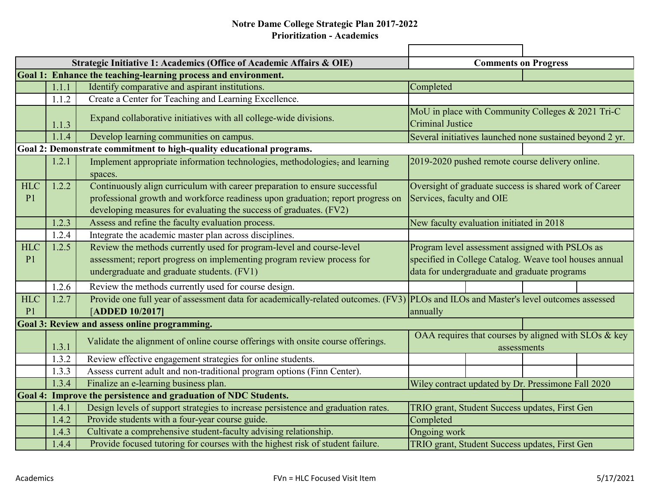### **Notre Dame College Strategic Plan 2017-2022 Prioritization - Academics**

|                              |       | Strategic Initiative 1: Academics (Office of Academic Affairs & OIE)                                                                                                                                                                |                                                                                                                                                           | <b>Comments on Progress</b>                                         |  |  |
|------------------------------|-------|-------------------------------------------------------------------------------------------------------------------------------------------------------------------------------------------------------------------------------------|-----------------------------------------------------------------------------------------------------------------------------------------------------------|---------------------------------------------------------------------|--|--|
|                              |       | Goal 1: Enhance the teaching-learning process and environment.                                                                                                                                                                      |                                                                                                                                                           |                                                                     |  |  |
|                              | 1.1.1 | Identify comparative and aspirant institutions.                                                                                                                                                                                     | Completed                                                                                                                                                 |                                                                     |  |  |
|                              | 1.1.2 | Create a Center for Teaching and Learning Excellence.                                                                                                                                                                               |                                                                                                                                                           |                                                                     |  |  |
|                              | 1.1.3 | Expand collaborative initiatives with all college-wide divisions.                                                                                                                                                                   | MoU in place with Community Colleges & 2021 Tri-C<br><b>Criminal Justice</b>                                                                              |                                                                     |  |  |
|                              | 1.1.4 | Develop learning communities on campus.                                                                                                                                                                                             | Several initiatives launched none sustained beyond 2 yr.                                                                                                  |                                                                     |  |  |
|                              |       | Goal 2: Demonstrate commitment to high-quality educational programs.                                                                                                                                                                |                                                                                                                                                           |                                                                     |  |  |
|                              | 1.2.1 | Implement appropriate information technologies, methodologies, and learning<br>spaces.                                                                                                                                              | 2019-2020 pushed remote course delivery online.                                                                                                           |                                                                     |  |  |
| <b>HLC</b><br>P <sub>1</sub> | 1.2.2 | Continuously align curriculum with career preparation to ensure successful<br>professional growth and workforce readiness upon graduation; report progress on<br>developing measures for evaluating the success of graduates. (FV2) | Oversight of graduate success is shared work of Career<br>Services, faculty and OIE                                                                       |                                                                     |  |  |
|                              | 1.2.3 | Assess and refine the faculty evaluation process.                                                                                                                                                                                   | New faculty evaluation initiated in 2018                                                                                                                  |                                                                     |  |  |
|                              | 1.2.4 | Integrate the academic master plan across disciplines.                                                                                                                                                                              |                                                                                                                                                           |                                                                     |  |  |
| <b>HLC</b><br>P <sub>1</sub> | 1.2.5 | Review the methods currently used for program-level and course-level<br>assessment; report progress on implementing program review process for<br>undergraduate and graduate students. (FV1)                                        | Program level assessment assigned with PSLOs as<br>specified in College Catalog. Weave tool houses annual<br>data for undergraduate and graduate programs |                                                                     |  |  |
|                              | 1.2.6 | Review the methods currently used for course design.                                                                                                                                                                                |                                                                                                                                                           |                                                                     |  |  |
| <b>HLC</b><br>P <sub>1</sub> | 1.2.7 | Provide one full year of assessment data for academically-related outcomes. (FV3) PLOs and ILOs and Master's level outcomes assessed<br>[ADDED 10/2017]                                                                             | annually                                                                                                                                                  |                                                                     |  |  |
|                              |       | Goal 3: Review and assess online programming.                                                                                                                                                                                       |                                                                                                                                                           |                                                                     |  |  |
|                              | 1.3.1 | Validate the alignment of online course offerings with onsite course offerings.                                                                                                                                                     |                                                                                                                                                           | OAA requires that courses by aligned with SLOs & key<br>assessments |  |  |
|                              | 1.3.2 | Review effective engagement strategies for online students.                                                                                                                                                                         |                                                                                                                                                           |                                                                     |  |  |
|                              | 1.3.3 | Assess current adult and non-traditional program options (Finn Center).                                                                                                                                                             |                                                                                                                                                           |                                                                     |  |  |
|                              | 1.3.4 | Finalize an e-learning business plan.                                                                                                                                                                                               | Wiley contract updated by Dr. Pressimone Fall 2020                                                                                                        |                                                                     |  |  |
|                              |       | Goal 4: Improve the persistence and graduation of NDC Students.                                                                                                                                                                     |                                                                                                                                                           |                                                                     |  |  |
|                              | 1.4.1 | Design levels of support strategies to increase persistence and graduation rates.                                                                                                                                                   | TRIO grant, Student Success updates, First Gen                                                                                                            |                                                                     |  |  |
|                              | 1.4.2 | Provide students with a four-year course guide.                                                                                                                                                                                     | Completed                                                                                                                                                 |                                                                     |  |  |
|                              | 1.4.3 | Cultivate a comprehensive student-faculty advising relationship.                                                                                                                                                                    | Ongoing work                                                                                                                                              |                                                                     |  |  |
|                              | 1.4.4 | Provide focused tutoring for courses with the highest risk of student failure.                                                                                                                                                      | TRIO grant, Student Success updates, First Gen                                                                                                            |                                                                     |  |  |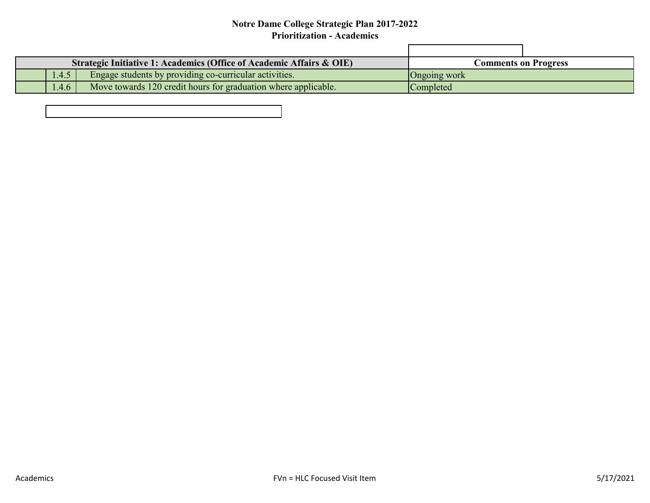#### **Notre Dame College Strategic Plan 2017-2022 Prioritization - Academics**

|       | Strategic Initiative 1: Academics (Office of Academic Affairs & OIE) |                     | <b>Comments on Progress</b> |
|-------|----------------------------------------------------------------------|---------------------|-----------------------------|
| 1.4.5 | Engage students by providing co-curricular activities.               | <b>Ongoing</b> work |                             |
| 1.4.6 | Move towards 120 credit hours for graduation where applicable.       | <b>Completed</b>    |                             |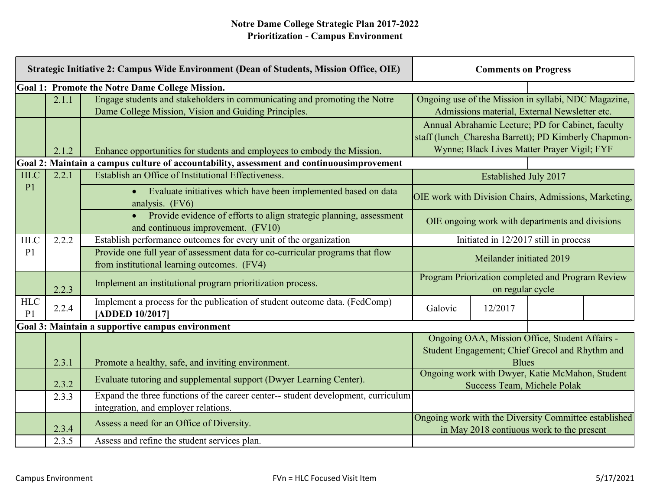# **Notre Dame College Strategic Plan 2017-2022 Prioritization - Campus Environment**

|                              |       | Strategic Initiative 2: Campus Wide Environment (Dean of Students, Mission Office, OIE)                                           |                                                                                | <b>Comments on Progress</b> |                                                                                                                                                          |
|------------------------------|-------|-----------------------------------------------------------------------------------------------------------------------------------|--------------------------------------------------------------------------------|-----------------------------|----------------------------------------------------------------------------------------------------------------------------------------------------------|
|                              |       | <b>Goal 1: Promote the Notre Dame College Mission.</b>                                                                            |                                                                                |                             |                                                                                                                                                          |
|                              | 2.1.1 | Engage students and stakeholders in communicating and promoting the Notre<br>Dame College Mission, Vision and Guiding Principles. |                                                                                |                             | Ongoing use of the Mission in syllabi, NDC Magazine,<br>Admissions material, External Newsletter etc.                                                    |
|                              | 2.1.2 | Enhance opportunities for students and employees to embody the Mission.                                                           |                                                                                |                             | Annual Abrahamic Lecture; PD for Cabinet, faculty<br>staff (lunch Charesha Barrett); PD Kimberly Chapmon-<br>Wynne; Black Lives Matter Prayer Vigil; FYF |
|                              |       | Goal 2: Maintain a campus culture of accountability, assessment and continuousimprovement                                         |                                                                                |                             |                                                                                                                                                          |
| <b>HLC</b>                   | 2.2.1 | Establish an Office of Institutional Effectiveness.                                                                               |                                                                                | Established July 2017       |                                                                                                                                                          |
| P <sub>1</sub>               |       | • Evaluate initiatives which have been implemented based on data<br>analysis. (FV6)                                               |                                                                                |                             | OIE work with Division Chairs, Admissions, Marketing,                                                                                                    |
|                              |       | Provide evidence of efforts to align strategic planning, assessment<br>and continuous improvement. (FV10)                         |                                                                                |                             | OIE ongoing work with departments and divisions                                                                                                          |
| <b>HLC</b>                   | 2.2.2 | Establish performance outcomes for every unit of the organization                                                                 |                                                                                |                             | Initiated in 12/2017 still in process                                                                                                                    |
| P <sub>1</sub>               |       | Provide one full year of assessment data for co-curricular programs that flow<br>from institutional learning outcomes. (FV4)      | Meilander initiated 2019                                                       |                             |                                                                                                                                                          |
|                              | 2.2.3 | Implement an institutional program prioritization process.                                                                        |                                                                                | on regular cycle            | Program Priorization completed and Program Review                                                                                                        |
| <b>HLC</b><br>P <sub>1</sub> | 2.2.4 | Implement a process for the publication of student outcome data. (FedComp)<br>[ADDED 10/2017]                                     | Galovic                                                                        | 12/2017                     |                                                                                                                                                          |
|                              |       | Goal 3: Maintain a supportive campus environment                                                                                  |                                                                                |                             |                                                                                                                                                          |
|                              | 2.3.1 | Promote a healthy, safe, and inviting environment.                                                                                |                                                                                | <b>Blues</b>                | Ongoing OAA, Mission Office, Student Affairs -<br>Student Engagement; Chief Grecol and Rhythm and                                                        |
|                              | 2.3.2 | Evaluate tutoring and supplemental support (Dwyer Learning Center).                                                               | Ongoing work with Dwyer, Katie McMahon, Student<br>Success Team, Michele Polak |                             |                                                                                                                                                          |
|                              | 2.3.3 | Expand the three functions of the career center-- student development, curriculum<br>integration, and employer relations.         |                                                                                |                             |                                                                                                                                                          |
|                              | 2.3.4 | Assess a need for an Office of Diversity.                                                                                         |                                                                                |                             | Ongoing work with the Diversity Committee established<br>in May 2018 contiuous work to the present                                                       |
|                              | 2.3.5 | Assess and refine the student services plan.                                                                                      |                                                                                |                             |                                                                                                                                                          |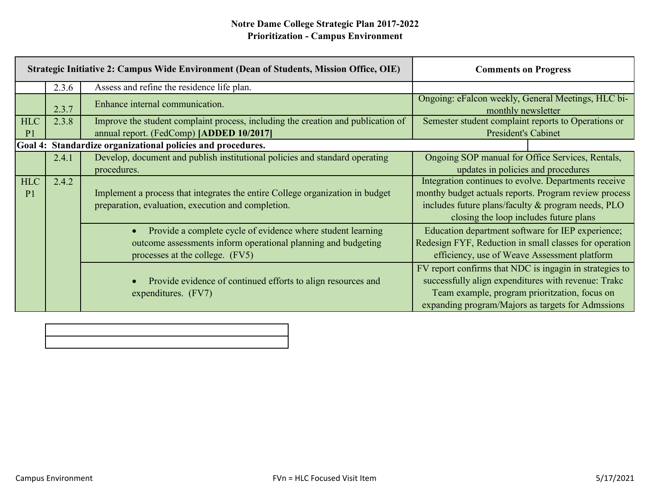### **Notre Dame College Strategic Plan 2017-2022 Prioritization - Campus Environment**

| Strategic Initiative 2: Campus Wide Environment (Dean of Students, Mission Office, OIE) |       |                                                                                  | <b>Comments on Progress</b>                                              |
|-----------------------------------------------------------------------------------------|-------|----------------------------------------------------------------------------------|--------------------------------------------------------------------------|
|                                                                                         | 2.3.6 | Assess and refine the residence life plan.                                       |                                                                          |
|                                                                                         | 2.3.7 | Enhance internal communication.                                                  | Ongoing: eFalcon weekly, General Meetings, HLC bi-<br>monthly newsletter |
| <b>HLC</b>                                                                              | 2.3.8 | Improve the student complaint process, including the creation and publication of | Semester student complaint reports to Operations or                      |
| P <sub>1</sub>                                                                          |       | annual report. (FedComp) [ADDED 10/2017]                                         | <b>President's Cabinet</b>                                               |
| <b>Goal 4:</b>                                                                          |       | Standardize organizational policies and procedures.                              |                                                                          |
|                                                                                         | 2.4.1 | Develop, document and publish institutional policies and standard operating      | Ongoing SOP manual for Office Services, Rentals,                         |
|                                                                                         |       | procedures.                                                                      | updates in policies and procedures                                       |
| <b>HLC</b>                                                                              | 2.4.2 |                                                                                  | Integration continues to evolve. Departments receive                     |
| P <sub>1</sub>                                                                          |       | Implement a process that integrates the entire College organization in budget    | monthy budget actuals reports. Program review process                    |
|                                                                                         |       | preparation, evaluation, execution and completion.                               | includes future plans/faculty & program needs, PLO                       |
|                                                                                         |       |                                                                                  | closing the loop includes future plans                                   |
|                                                                                         |       | Provide a complete cycle of evidence where student learning<br>$\bullet$         | Education department software for IEP experience;                        |
|                                                                                         |       | outcome assessments inform operational planning and budgeting                    | Redesign FYF, Reduction in small classes for operation                   |
|                                                                                         |       | processes at the college. (FV5)                                                  | efficiency, use of Weave Assessment platform                             |
|                                                                                         |       |                                                                                  | FV report confirms that NDC is ingagin in strategies to                  |
|                                                                                         |       | Provide evidence of continued efforts to align resources and                     | successfully align expenditures with revenue: Trake                      |
|                                                                                         |       | expenditures. (FV7)                                                              | Team example, program prioritzation, focus on                            |
|                                                                                         |       |                                                                                  | expanding program/Majors as targets for Admssions                        |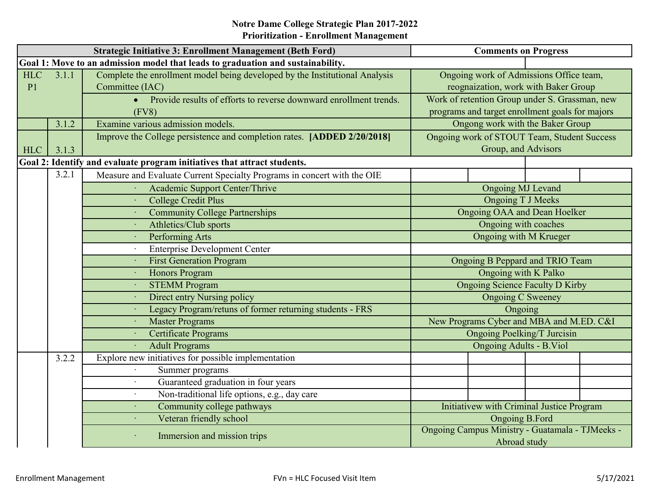### **Notre Dame College Strategic Plan 2017-2022 Prioritization - Enrollment Management**

|                |       | <b>Strategic Initiative 3: Enrollment Management (Beth Ford)</b>                | <b>Comments on Progress</b>                     |  |
|----------------|-------|---------------------------------------------------------------------------------|-------------------------------------------------|--|
|                |       | Goal 1: Move to an admission model that leads to graduation and sustainability. |                                                 |  |
| <b>HLC</b>     | 3.1.1 | Complete the enrollment model being developed by the Institutional Analysis     | Ongoing work of Admissions Office team,         |  |
| P <sub>1</sub> |       | Committee (IAC)                                                                 | reognaization, work with Baker Group            |  |
|                |       | Provide results of efforts to reverse downward enrollment trends.<br>$\bullet$  | Work of retention Group under S. Grassman, new  |  |
|                |       | (FV8)                                                                           | programs and target enrollment goals for majors |  |
|                | 3.1.2 | Examine various admission models.                                               | Ongong work with the Baker Group                |  |
|                |       | Improve the College persistence and completion rates. [ADDED 2/20/2018]         | Ongoing work of STOUT Team, Student Success     |  |
| <b>HLC</b>     | 3.1.3 |                                                                                 | Group, and Advisors                             |  |
|                |       | Goal 2: Identify and evaluate program initiatives that attract students.        |                                                 |  |
|                | 3.2.1 | Measure and Evaluate Current Specialty Programs in concert with the OIE         |                                                 |  |
|                |       | Academic Support Center/Thrive                                                  | Ongoing MJ Levand                               |  |
|                |       | <b>College Credit Plus</b>                                                      | <b>Ongoing T J Meeks</b>                        |  |
|                |       | <b>Community College Partnerships</b>                                           | <b>Ongoing OAA and Dean Hoelker</b>             |  |
|                |       | Athletics/Club sports                                                           | Ongoing with coaches                            |  |
|                |       | Performing Arts                                                                 | <b>Ongoing with M Krueger</b>                   |  |
|                |       | <b>Enterprise Development Center</b>                                            |                                                 |  |
|                |       | <b>First Generation Program</b>                                                 | Ongoing B Peppard and TRIO Team                 |  |
|                |       | Honors Program                                                                  | Ongoing with K Palko                            |  |
|                |       | <b>STEMM</b> Program                                                            | <b>Ongoing Science Faculty D Kirby</b>          |  |
|                |       | Direct entry Nursing policy                                                     | <b>Ongoing C Sweeney</b>                        |  |
|                |       | Legacy Program/retuns of former returning students - FRS                        | Ongoing                                         |  |
|                |       | <b>Master Programs</b>                                                          | New Programs Cyber and MBA and M.ED. C&I        |  |
|                |       | Certificate Programs                                                            | <b>Ongoing Poelking/T Jurcisin</b>              |  |
|                |       | <b>Adult Programs</b>                                                           | <b>Ongoing Adults - B. Viol</b>                 |  |
|                | 3.2.2 | Explore new initiatives for possible implementation                             |                                                 |  |
|                |       | Summer programs                                                                 |                                                 |  |
|                |       | Guaranteed graduation in four years                                             |                                                 |  |
|                |       | Non-traditional life options, e.g., day care                                    |                                                 |  |
|                |       | Community college pathways                                                      | Initiativew with Criminal Justice Program       |  |
|                |       | Veteran friendly school                                                         | Ongoing B.Ford                                  |  |
|                |       | Immersion and mission trips                                                     | Ongoing Campus Ministry - Guatamala - TJMeeks - |  |
|                |       |                                                                                 | Abroad study                                    |  |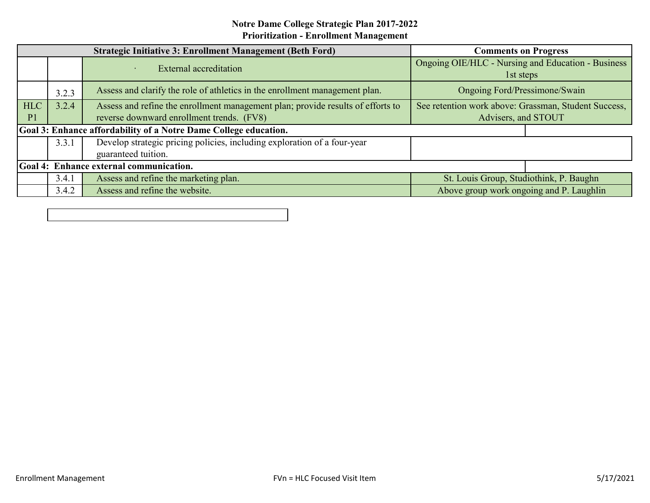### **Notre Dame College Strategic Plan 2017-2022 Prioritization - Enrollment Management**

|                | <b>Strategic Initiative 3: Enrollment Management (Beth Ford)</b> |                                                                                 | <b>Comments on Progress</b>                                     |  |
|----------------|------------------------------------------------------------------|---------------------------------------------------------------------------------|-----------------------------------------------------------------|--|
|                |                                                                  | <b>External accreditation</b>                                                   | Ongoing OIE/HLC - Nursing and Education - Business<br>1st steps |  |
|                | 3.2.3                                                            | Assess and clarify the role of athletics in the enrollment management plan.     | Ongoing Ford/Pressimone/Swain                                   |  |
| <b>HLC</b>     | 3.2.4                                                            | Assess and refine the enrollment management plan; provide results of efforts to | See retention work above: Grassman, Student Success,            |  |
| P <sub>1</sub> |                                                                  | reverse downward enrollment trends. (FV8)                                       | Advisers, and STOUT                                             |  |
|                |                                                                  | Goal 3: Enhance affordability of a Notre Dame College education.                |                                                                 |  |
|                | 3.3.1                                                            | Develop strategic pricing policies, including exploration of a four-year        |                                                                 |  |
|                |                                                                  | guaranteed tuition.                                                             |                                                                 |  |
|                |                                                                  | Goal 4: Enhance external communication.                                         |                                                                 |  |
|                | 3.4.1                                                            | Assess and refine the marketing plan.                                           | St. Louis Group, Studiothink, P. Baughn                         |  |
|                | 3.4.2                                                            | Assess and refine the website.                                                  | Above group work ongoing and P. Laughlin                        |  |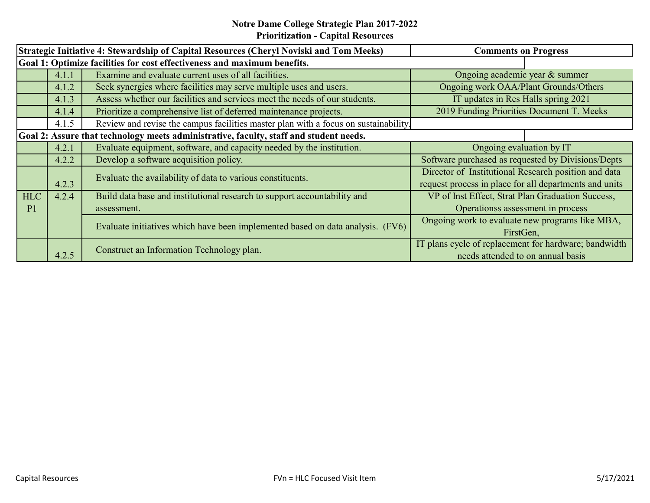### **Notre Dame College Strategic Plan 2017-2022 Prioritization - Capital Resources**

| Strategic Initiative 4: Stewardship of Capital Resources (Cheryl Noviski and Tom Meeks) |       | <b>Comments on Progress</b>                                                            |                                                        |  |
|-----------------------------------------------------------------------------------------|-------|----------------------------------------------------------------------------------------|--------------------------------------------------------|--|
|                                                                                         |       | Goal 1: Optimize facilities for cost effectiveness and maximum benefits.               |                                                        |  |
|                                                                                         | 4.1.1 | Examine and evaluate current uses of all facilities.                                   | Ongoing academic year & summer                         |  |
|                                                                                         | 4.1.2 | Seek synergies where facilities may serve multiple uses and users.                     | Ongoing work OAA/Plant Grounds/Others                  |  |
|                                                                                         | 4.1.3 | Assess whether our facilities and services meet the needs of our students.             | IT updates in Res Halls spring 2021                    |  |
|                                                                                         | 4.1.4 | Prioritize a comprehensive list of deferred maintenance projects.                      | 2019 Funding Priorities Document T. Meeks              |  |
|                                                                                         | 4.1.5 | Review and revise the campus facilities master plan with a focus on sustainability.    |                                                        |  |
|                                                                                         |       | Goal 2: Assure that technology meets administrative, faculty, staff and student needs. |                                                        |  |
|                                                                                         | 4.2.1 | Evaluate equipment, software, and capacity needed by the institution.                  | Ongoing evaluation by IT                               |  |
|                                                                                         | 4.2.2 | Develop a software acquisition policy.                                                 | Software purchased as requested by Divisions/Depts     |  |
|                                                                                         |       | Evaluate the availability of data to various constituents.                             | Director of Institutional Research position and data   |  |
|                                                                                         | 4.2.3 |                                                                                        | request process in place for all departments and units |  |
| <b>HLC</b>                                                                              | 4.2.4 | Build data base and institutional research to support accountability and               | VP of Inst Effect, Strat Plan Graduation Success,      |  |
| P <sub>1</sub>                                                                          |       | assessment.                                                                            | Operationss assessment in process                      |  |
|                                                                                         |       | Evaluate initiatives which have been implemented based on data analysis. (FV6)         | Ongoing work to evaluate new programs like MBA,        |  |
|                                                                                         |       |                                                                                        | FirstGen,                                              |  |
|                                                                                         |       | Construct an Information Technology plan.                                              | IT plans cycle of replacement for hardware; bandwidth  |  |
|                                                                                         | 4.2.5 |                                                                                        | needs attended to on annual basis                      |  |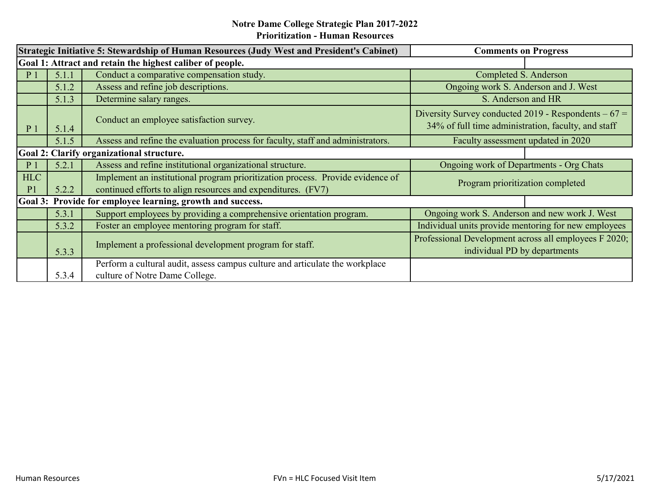#### **Notre Dame College Strategic Plan 2017-2022 Prioritization - Human Resources**

|                              |       | Strategic Initiative 5: Stewardship of Human Resources (Judy West and President's Cabinet)                                                     | <b>Comments on Progress</b>                                                                                  |  |
|------------------------------|-------|------------------------------------------------------------------------------------------------------------------------------------------------|--------------------------------------------------------------------------------------------------------------|--|
|                              |       | Goal 1: Attract and retain the highest caliber of people.                                                                                      |                                                                                                              |  |
| P <sub>1</sub>               | 5.1.1 | Conduct a comparative compensation study.                                                                                                      | Completed S. Anderson                                                                                        |  |
|                              | 5.1.2 | Assess and refine job descriptions.                                                                                                            | Ongoing work S. Anderson and J. West                                                                         |  |
|                              | 5.1.3 | Determine salary ranges.                                                                                                                       | S. Anderson and HR                                                                                           |  |
| P <sub>1</sub>               | 5.1.4 | Conduct an employee satisfaction survey.                                                                                                       | Diversity Survey conducted 2019 - Respondents $-67 =$<br>34% of full time administration, faculty, and staff |  |
|                              | 5.1.5 | Assess and refine the evaluation process for faculty, staff and administrators.                                                                | Faculty assessment updated in 2020                                                                           |  |
|                              |       | Goal 2: Clarify organizational structure.                                                                                                      |                                                                                                              |  |
| P <sub>1</sub>               | 5.2.1 | Assess and refine institutional organizational structure.                                                                                      | Ongoing work of Departments - Org Chats                                                                      |  |
| <b>HLC</b><br>P <sub>1</sub> | 5.2.2 | Implement an institutional program prioritization process. Provide evidence of<br>continued efforts to align resources and expenditures. (FV7) | Program prioritization completed                                                                             |  |
|                              |       | Goal 3: Provide for employee learning, growth and success.                                                                                     |                                                                                                              |  |
|                              | 5.3.1 | Support employees by providing a comprehensive orientation program.                                                                            | Ongoing work S. Anderson and new work J. West                                                                |  |
|                              | 5.3.2 | Foster an employee mentoring program for staff.                                                                                                | Individual units provide mentoring for new employees                                                         |  |
|                              | 5.3.3 | Implement a professional development program for staff.                                                                                        | Professional Development across all employees F 2020;<br>individual PD by departments                        |  |
|                              | 5.3.4 | Perform a cultural audit, assess campus culture and articulate the workplace<br>culture of Notre Dame College.                                 |                                                                                                              |  |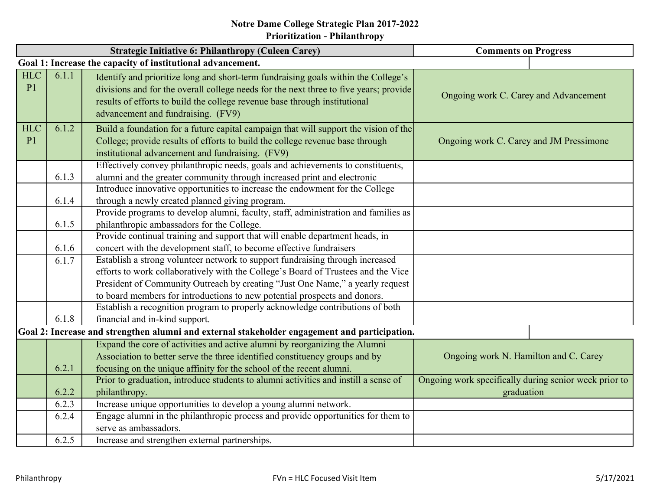# **Notre Dame College Strategic Plan 2017-2022 Prioritization - Philanthropy**

|                              |       | <b>Strategic Initiative 6: Philanthropy (Culeen Carey)</b>                                                                                                                                                                                                                                      | <b>Comments on Progress</b>                           |
|------------------------------|-------|-------------------------------------------------------------------------------------------------------------------------------------------------------------------------------------------------------------------------------------------------------------------------------------------------|-------------------------------------------------------|
|                              |       | Goal 1: Increase the capacity of institutional advancement.                                                                                                                                                                                                                                     |                                                       |
| <b>HLC</b><br>P <sub>1</sub> | 6.1.1 | Identify and prioritize long and short-term fundraising goals within the College's<br>divisions and for the overall college needs for the next three to five years; provide<br>results of efforts to build the college revenue base through institutional<br>advancement and fundraising. (FV9) | Ongoing work C. Carey and Advancement                 |
| <b>HLC</b><br>P <sub>1</sub> | 6.1.2 | Build a foundation for a future capital campaign that will support the vision of the<br>College; provide results of efforts to build the college revenue base through<br>institutional advancement and fundraising. (FV9)                                                                       | Ongoing work C. Carey and JM Pressimone               |
|                              |       | Effectively convey philanthropic needs, goals and achievements to constituents,                                                                                                                                                                                                                 |                                                       |
|                              | 6.1.3 | alumni and the greater community through increased print and electronic                                                                                                                                                                                                                         |                                                       |
|                              | 6.1.4 | Introduce innovative opportunities to increase the endowment for the College<br>through a newly created planned giving program.                                                                                                                                                                 |                                                       |
|                              |       | Provide programs to develop alumni, faculty, staff, administration and families as                                                                                                                                                                                                              |                                                       |
|                              | 6.1.5 | philanthropic ambassadors for the College.                                                                                                                                                                                                                                                      |                                                       |
|                              |       | Provide continual training and support that will enable department heads, in                                                                                                                                                                                                                    |                                                       |
|                              | 6.1.6 | concert with the development staff, to become effective fundraisers                                                                                                                                                                                                                             |                                                       |
|                              | 6.1.7 | Establish a strong volunteer network to support fundraising through increased                                                                                                                                                                                                                   |                                                       |
|                              |       | efforts to work collaboratively with the College's Board of Trustees and the Vice                                                                                                                                                                                                               |                                                       |
|                              |       | President of Community Outreach by creating "Just One Name," a yearly request                                                                                                                                                                                                                   |                                                       |
|                              |       | to board members for introductions to new potential prospects and donors.                                                                                                                                                                                                                       |                                                       |
|                              |       | Establish a recognition program to properly acknowledge contributions of both                                                                                                                                                                                                                   |                                                       |
|                              | 6.1.8 | financial and in-kind support.                                                                                                                                                                                                                                                                  |                                                       |
|                              |       | Goal 2: Increase and strengthen alumni and external stakeholder engagement and participation.                                                                                                                                                                                                   |                                                       |
|                              |       | Expand the core of activities and active alumni by reorganizing the Alumni                                                                                                                                                                                                                      |                                                       |
|                              |       | Association to better serve the three identified constituency groups and by                                                                                                                                                                                                                     | Ongoing work N. Hamilton and C. Carey                 |
|                              | 6.2.1 | focusing on the unique affinity for the school of the recent alumni.                                                                                                                                                                                                                            |                                                       |
|                              |       | Prior to graduation, introduce students to alumni activities and instill a sense of                                                                                                                                                                                                             | Ongoing work specifically during senior week prior to |
|                              | 6.2.2 | philanthropy.                                                                                                                                                                                                                                                                                   | graduation                                            |
|                              | 6.2.3 | Increase unique opportunities to develop a young alumni network.                                                                                                                                                                                                                                |                                                       |
|                              | 6.2.4 | Engage alumni in the philanthropic process and provide opportunities for them to                                                                                                                                                                                                                |                                                       |
|                              |       | serve as ambassadors.                                                                                                                                                                                                                                                                           |                                                       |
|                              | 6.2.5 | Increase and strengthen external partnerships.                                                                                                                                                                                                                                                  |                                                       |